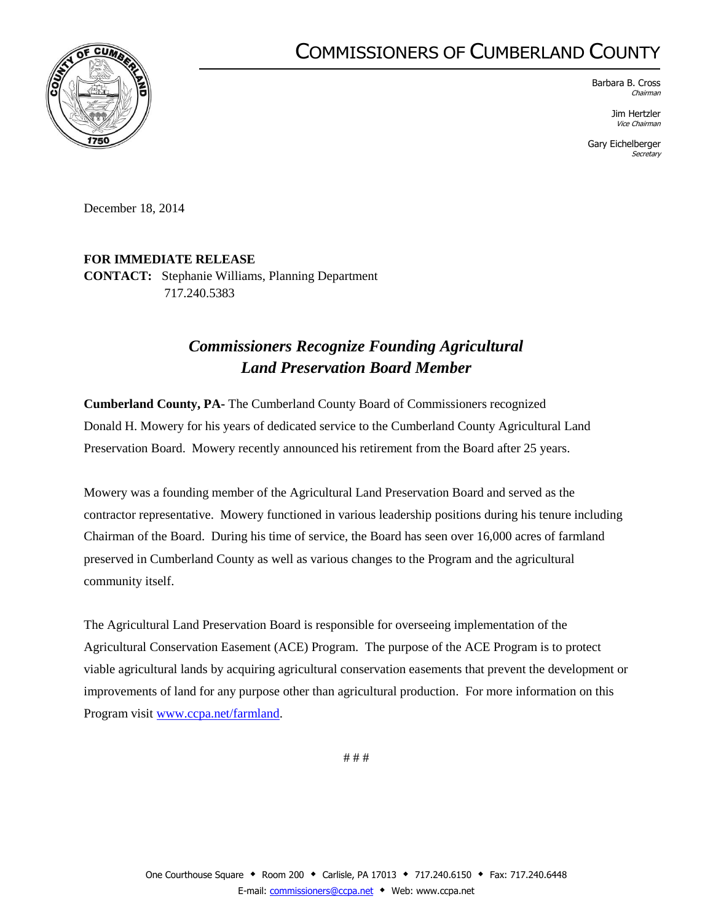## COMMISSIONERS OF CUMBERLAND COUNTY



Barbara B. Cross Chairman

> Jim Hertzler Vice Chairman

Gary Eichelberger **Secretary** 

December 18, 2014

## **FOR IMMEDIATE RELEASE**

**CONTACT:** Stephanie Williams, Planning Department 717.240.5383

## *Commissioners Recognize Founding Agricultural Land Preservation Board Member*

**Cumberland County, PA-** The Cumberland County Board of Commissioners recognized Donald H. Mowery for his years of dedicated service to the Cumberland County Agricultural Land Preservation Board. Mowery recently announced his retirement from the Board after 25 years.

Mowery was a founding member of the Agricultural Land Preservation Board and served as the contractor representative. Mowery functioned in various leadership positions during his tenure including Chairman of the Board. During his time of service, the Board has seen over 16,000 acres of farmland preserved in Cumberland County as well as various changes to the Program and the agricultural community itself.

The Agricultural Land Preservation Board is responsible for overseeing implementation of the Agricultural Conservation Easement (ACE) Program. The purpose of the ACE Program is to protect viable agricultural lands by acquiring agricultural conservation easements that prevent the development or improvements of land for any purpose other than agricultural production. For more information on this Program visit [www.ccpa.net/f](http://www.ccpa.net/)armland.

# # #